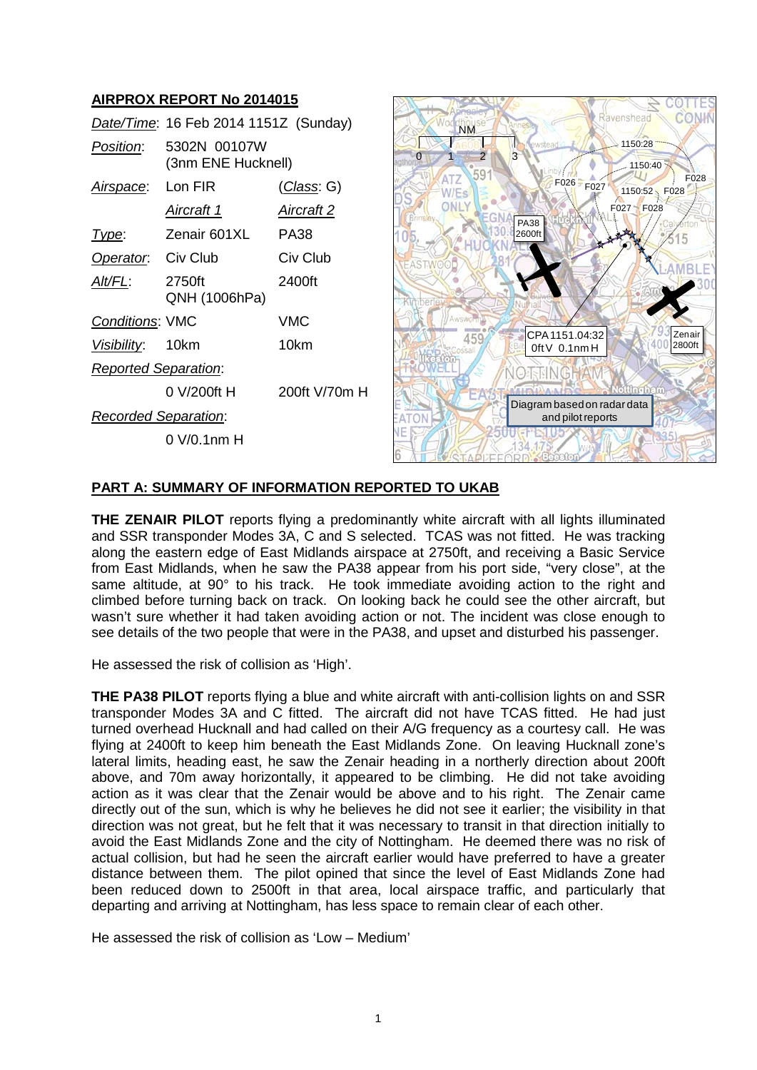# **AIRPROX REPORT No 2014015**

|                             | Date/Time: 16 Feb 2014 1151Z (Sunday) |                   |
|-----------------------------|---------------------------------------|-------------------|
| Position:                   | 5302N 00107W<br>(3nm ENE Hucknell)    |                   |
| Airspace: Lon FIR           |                                       | (Class: G)        |
|                             | Aircraft 1                            | <b>Aircraft 2</b> |
| lype:                       | Zenair 601XL PA38                     |                   |
| <b>Operator.</b> Civ Club   |                                       | Civ Club          |
| Alt/FL:                     | 2750ft<br>QNH (1006hPa)               | 2400ft            |
| <b>Conditions: VMC</b>      |                                       | VMC               |
| Visibility: 10km            |                                       | 10km              |
| <b>Reported Separation:</b> |                                       |                   |
|                             | 0 V/200ft H                           | 200ft V/70m H     |
| <b>Recorded Separation:</b> |                                       |                   |
|                             | $0 V/0.1$ nm H                        |                   |



## **PART A: SUMMARY OF INFORMATION REPORTED TO UKAB**

**THE ZENAIR PILOT** reports flying a predominantly white aircraft with all lights illuminated and SSR transponder Modes 3A, C and S selected. TCAS was not fitted. He was tracking along the eastern edge of East Midlands airspace at 2750ft, and receiving a Basic Service from East Midlands, when he saw the PA38 appear from his port side, "very close", at the same altitude, at 90° to his track. He took immediate avoiding action to the right and climbed before turning back on track. On looking back he could see the other aircraft, but wasn't sure whether it had taken avoiding action or not. The incident was close enough to see details of the two people that were in the PA38, and upset and disturbed his passenger.

He assessed the risk of collision as 'High'.

**THE PA38 PILOT** reports flying a blue and white aircraft with anti-collision lights on and SSR transponder Modes 3A and C fitted. The aircraft did not have TCAS fitted. He had just turned overhead Hucknall and had called on their A/G frequency as a courtesy call. He was flying at 2400ft to keep him beneath the East Midlands Zone. On leaving Hucknall zone's lateral limits, heading east, he saw the Zenair heading in a northerly direction about 200ft above, and 70m away horizontally, it appeared to be climbing. He did not take avoiding action as it was clear that the Zenair would be above and to his right. The Zenair came directly out of the sun, which is why he believes he did not see it earlier; the visibility in that direction was not great, but he felt that it was necessary to transit in that direction initially to avoid the East Midlands Zone and the city of Nottingham. He deemed there was no risk of actual collision, but had he seen the aircraft earlier would have preferred to have a greater distance between them. The pilot opined that since the level of East Midlands Zone had been reduced down to 2500ft in that area, local airspace traffic, and particularly that departing and arriving at Nottingham, has less space to remain clear of each other.

He assessed the risk of collision as 'Low – Medium'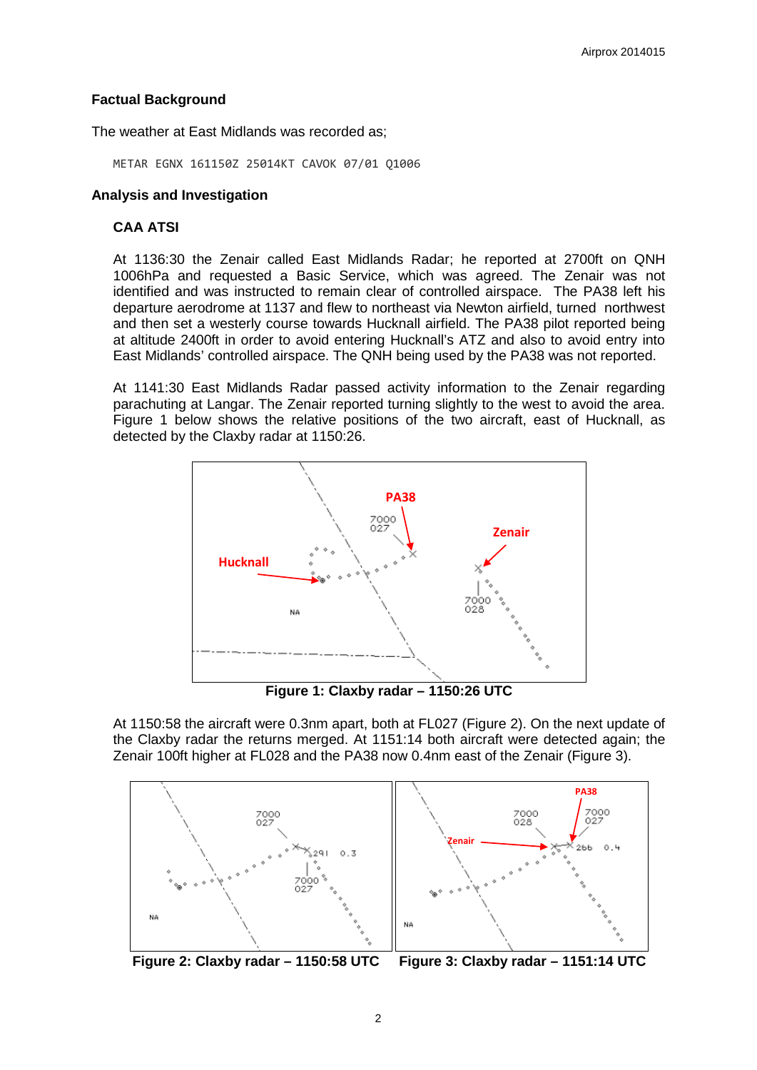## **Factual Background**

The weather at East Midlands was recorded as;

METAR EGNX 161150Z 25014KT CAVOK 07/01 Q1006

#### **Analysis and Investigation**

#### **CAA ATSI**

At 1136:30 the Zenair called East Midlands Radar; he reported at 2700ft on QNH 1006hPa and requested a Basic Service, which was agreed. The Zenair was not identified and was instructed to remain clear of controlled airspace. The PA38 left his departure aerodrome at 1137 and flew to northeast via Newton airfield, turned northwest and then set a westerly course towards Hucknall airfield. The PA38 pilot reported being at altitude 2400ft in order to avoid entering Hucknall's ATZ and also to avoid entry into East Midlands' controlled airspace. The QNH being used by the PA38 was not reported.

At 1141:30 East Midlands Radar passed activity information to the Zenair regarding parachuting at Langar. The Zenair reported turning slightly to the west to avoid the area. Figure 1 below shows the relative positions of the two aircraft, east of Hucknall, as detected by the Claxby radar at 1150:26.



**Figure 1: Claxby radar – 1150:26 UTC**

At 1150:58 the aircraft were 0.3nm apart, both at FL027 (Figure 2). On the next update of the Claxby radar the returns merged. At 1151:14 both aircraft were detected again; the Zenair 100ft higher at FL028 and the PA38 now 0.4nm east of the Zenair (Figure 3).



**Figure 2: Claxby radar – 1150:58 UTC Figure 3: Claxby radar – 1151:14 UTC**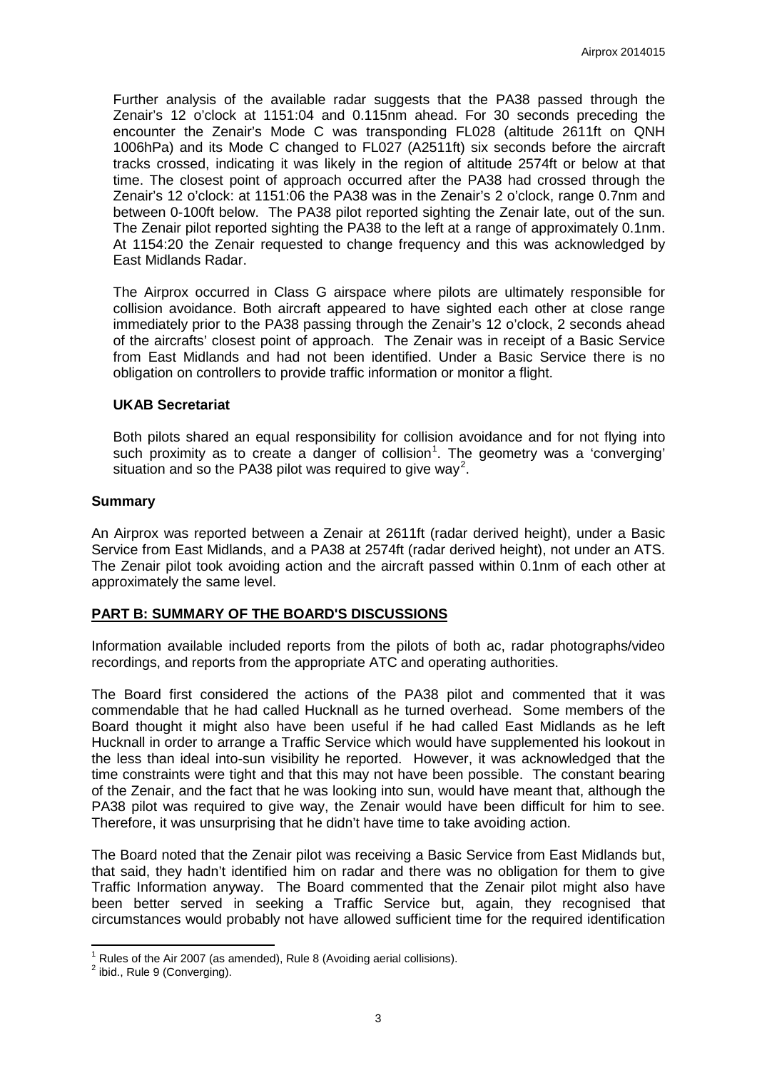Further analysis of the available radar suggests that the PA38 passed through the Zenair's 12 o'clock at 1151:04 and 0.115nm ahead. For 30 seconds preceding the encounter the Zenair's Mode C was transponding FL028 (altitude 2611ft on QNH 1006hPa) and its Mode C changed to FL027 (A2511ft) six seconds before the aircraft tracks crossed, indicating it was likely in the region of altitude 2574ft or below at that time. The closest point of approach occurred after the PA38 had crossed through the Zenair's 12 o'clock: at 1151:06 the PA38 was in the Zenair's 2 o'clock, range 0.7nm and between 0-100ft below. The PA38 pilot reported sighting the Zenair late, out of the sun. The Zenair pilot reported sighting the PA38 to the left at a range of approximately 0.1nm. At 1154:20 the Zenair requested to change frequency and this was acknowledged by East Midlands Radar.

The Airprox occurred in Class G airspace where pilots are ultimately responsible for collision avoidance. Both aircraft appeared to have sighted each other at close range immediately prior to the PA38 passing through the Zenair's 12 o'clock, 2 seconds ahead of the aircrafts' closest point of approach. The Zenair was in receipt of a Basic Service from East Midlands and had not been identified. Under a Basic Service there is no obligation on controllers to provide traffic information or monitor a flight.

### **UKAB Secretariat**

Both pilots shared an equal responsibility for collision avoidance and for not flying into such proximity as to create a danger of collision<sup>[1](#page-2-0)</sup>. The geometry was a 'converging' situation and so the PA38 pilot was required to give way<sup>[2](#page-2-1)</sup>.

### **Summary**

An Airprox was reported between a Zenair at 2611ft (radar derived height), under a Basic Service from East Midlands, and a PA38 at 2574ft (radar derived height), not under an ATS. The Zenair pilot took avoiding action and the aircraft passed within 0.1nm of each other at approximately the same level.

## **PART B: SUMMARY OF THE BOARD'S DISCUSSIONS**

Information available included reports from the pilots of both ac, radar photographs/video recordings, and reports from the appropriate ATC and operating authorities.

The Board first considered the actions of the PA38 pilot and commented that it was commendable that he had called Hucknall as he turned overhead. Some members of the Board thought it might also have been useful if he had called East Midlands as he left Hucknall in order to arrange a Traffic Service which would have supplemented his lookout in the less than ideal into-sun visibility he reported. However, it was acknowledged that the time constraints were tight and that this may not have been possible. The constant bearing of the Zenair, and the fact that he was looking into sun, would have meant that, although the PA38 pilot was required to give way, the Zenair would have been difficult for him to see. Therefore, it was unsurprising that he didn't have time to take avoiding action.

The Board noted that the Zenair pilot was receiving a Basic Service from East Midlands but, that said, they hadn't identified him on radar and there was no obligation for them to give Traffic Information anyway. The Board commented that the Zenair pilot might also have been better served in seeking a Traffic Service but, again, they recognised that circumstances would probably not have allowed sufficient time for the required identification

<span id="page-2-1"></span><span id="page-2-0"></span><sup>&</sup>lt;sup>1</sup> Rules of the Air 2007 (as amended), Rule 8 (Avoiding aerial collisions).<br><sup>2</sup> ibid., Rule 9 (Converging).